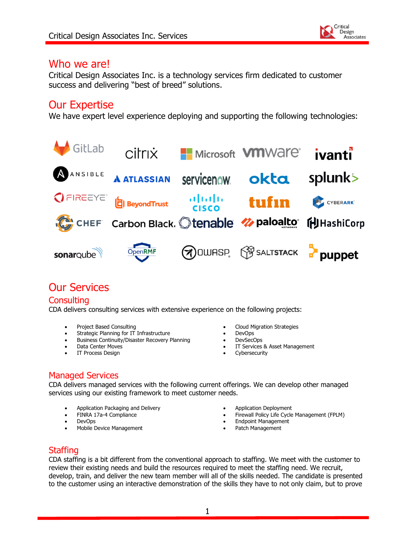

# Who we are!

Critical Design Associates Inc. is a technology services firm dedicated to customer success and delivering "best of breed" solutions.

# Our Expertise

We have expert level experience deploying and supporting the following technologies:



# Our Services

#### **Consulting**

CDA delivers consulting services with extensive experience on the following projects:

- Project Based Consulting
- Strategic Planning for IT Infrastructure
- Business Continuity/Disaster Recovery Planning
- Data Center Moves
- IT Process Design
- Cloud Migration Strategies
- DevOps
- DevSecOps
- IT Services & Asset Management
- **Cybersecurity**

### Managed Services

CDA delivers managed services with the following current offerings. We can develop other managed services using our existing framework to meet customer needs.

- Application Packaging and Delivery
- FINRA 17a-4 Compliance
- DevOps
- Mobile Device Management
- Application Deployment
- Firewall Policy Life Cycle Management (FPLM)
- Endpoint Management
- Patch Management

### **Staffing**

CDA staffing is a bit different from the conventional approach to staffing. We meet with the customer to review their existing needs and build the resources required to meet the staffing need. We recruit, develop, train, and deliver the new team member will all of the skills needed. The candidate is presented to the customer using an interactive demonstration of the skills they have to not only claim, but to prove